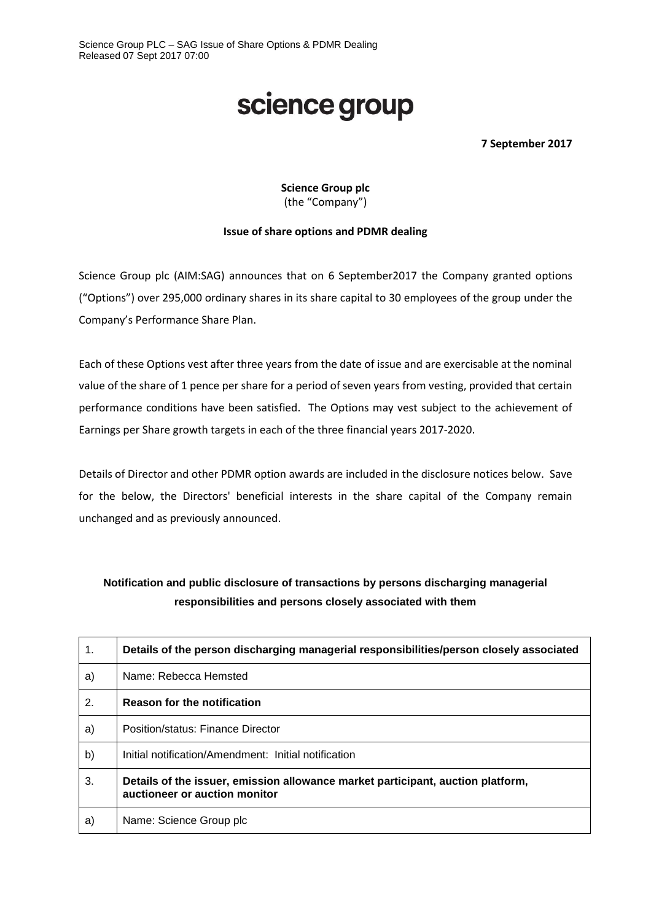## science group

**7 September 2017**

**Science Group plc** (the "Company")

## **Issue of share options and PDMR dealing**

Science Group plc (AIM:SAG) announces that on 6 September2017 the Company granted options ("Options") over 295,000 ordinary shares in its share capital to 30 employees of the group under the Company's Performance Share Plan.

Each of these Options vest after three years from the date of issue and are exercisable at the nominal value of the share of 1 pence per share for a period of seven years from vesting, provided that certain performance conditions have been satisfied. The Options may vest subject to the achievement of Earnings per Share growth targets in each of the three financial years 2017-2020.

Details of Director and other PDMR option awards are included in the disclosure notices below. Save for the below, the Directors' beneficial interests in the share capital of the Company remain unchanged and as previously announced.

## **Notification and public disclosure of transactions by persons discharging managerial responsibilities and persons closely associated with them**

| $\mathbf 1$ . | Details of the person discharging managerial responsibilities/person closely associated                          |
|---------------|------------------------------------------------------------------------------------------------------------------|
| a)            | Name: Rebecca Hemsted                                                                                            |
| 2.            | <b>Reason for the notification</b>                                                                               |
| a)            | Position/status: Finance Director                                                                                |
| b)            | Initial notification/Amendment: Initial notification                                                             |
| 3.            | Details of the issuer, emission allowance market participant, auction platform,<br>auctioneer or auction monitor |
| a)            | Name: Science Group plc                                                                                          |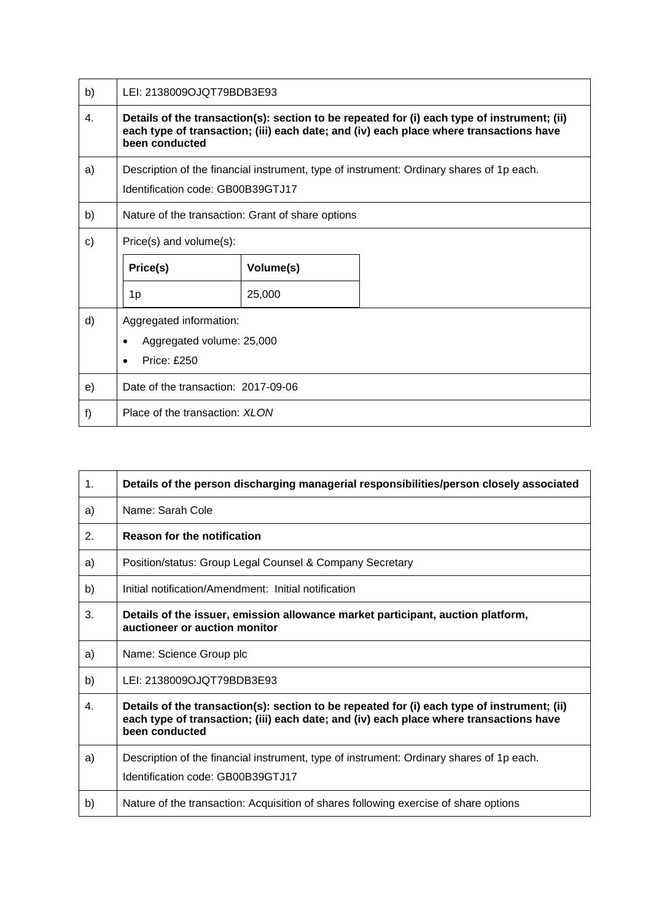| b)           | LEI: 2138009OJQT79BDB3E93                                                                                                                                                                               |           |  |
|--------------|---------------------------------------------------------------------------------------------------------------------------------------------------------------------------------------------------------|-----------|--|
| 4.           | Details of the transaction(s): section to be repeated for (i) each type of instrument; (ii)<br>each type of transaction; (iii) each date; and (iv) each place where transactions have<br>been conducted |           |  |
| a)           | Description of the financial instrument, type of instrument: Ordinary shares of 1p each.<br>Identification code: GB00B39GTJ17                                                                           |           |  |
| b)           | Nature of the transaction: Grant of share options                                                                                                                                                       |           |  |
| $\mathbf{C}$ | Price(s) and volume(s):                                                                                                                                                                                 |           |  |
|              | Price(s)                                                                                                                                                                                                | Volume(s) |  |
|              | 1p                                                                                                                                                                                                      | 25,000    |  |
| d)           | Aggregated information:<br>Aggregated volume: 25,000<br><b>Price: £250</b>                                                                                                                              |           |  |
| e)           | Date of the transaction: 2017-09-06                                                                                                                                                                     |           |  |
| f)           | Place of the transaction: XLON                                                                                                                                                                          |           |  |

| 1 <sub>1</sub> | Details of the person discharging managerial responsibilities/person closely associated                                                                                                                 |
|----------------|---------------------------------------------------------------------------------------------------------------------------------------------------------------------------------------------------------|
| a)             | Name: Sarah Cole                                                                                                                                                                                        |
| 2.             | <b>Reason for the notification</b>                                                                                                                                                                      |
| a)             | Position/status: Group Legal Counsel & Company Secretary                                                                                                                                                |
| b)             | Initial notification/Amendment: Initial notification                                                                                                                                                    |
| 3.             | Details of the issuer, emission allowance market participant, auction platform,<br>auctioneer or auction monitor                                                                                        |
| a)             | Name: Science Group plc                                                                                                                                                                                 |
| b)             | LEI: 2138009OJQT79BDB3E93                                                                                                                                                                               |
| 4.             | Details of the transaction(s): section to be repeated for (i) each type of instrument; (ii)<br>each type of transaction; (iii) each date; and (iv) each place where transactions have<br>been conducted |
| a)             | Description of the financial instrument, type of instrument: Ordinary shares of 1p each.<br>Identification code: GB00B39GTJ17                                                                           |
| b)             | Nature of the transaction: Acquisition of shares following exercise of share options                                                                                                                    |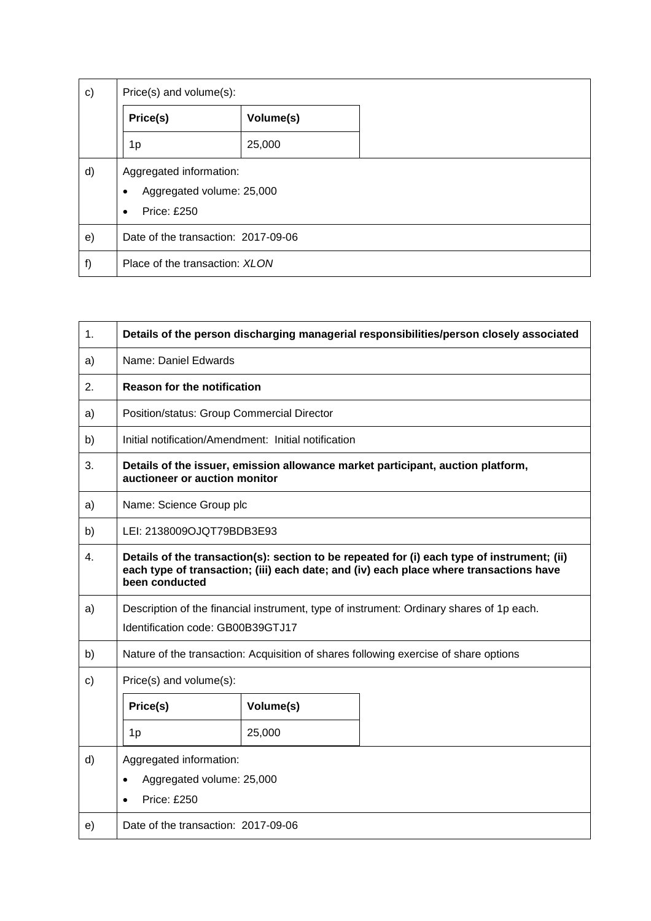| $\mathsf{c})$<br>Price(s) and volume(s): |                                                                                              |           |  |
|------------------------------------------|----------------------------------------------------------------------------------------------|-----------|--|
|                                          | Price(s)                                                                                     | Volume(s) |  |
|                                          | 1p                                                                                           | 25,000    |  |
| d)                                       | Aggregated information:<br>Aggregated volume: 25,000<br>٠<br><b>Price: £250</b><br>$\bullet$ |           |  |
| e)                                       | Date of the transaction: 2017-09-06                                                          |           |  |
| f)                                       | Place of the transaction: XLON                                                               |           |  |

| 1.            | Details of the person discharging managerial responsibilities/person closely associated                                                                                                                 |           |                                                                                      |
|---------------|---------------------------------------------------------------------------------------------------------------------------------------------------------------------------------------------------------|-----------|--------------------------------------------------------------------------------------|
| a)            | Name: Daniel Edwards                                                                                                                                                                                    |           |                                                                                      |
| 2.            | <b>Reason for the notification</b>                                                                                                                                                                      |           |                                                                                      |
| a)            | Position/status: Group Commercial Director                                                                                                                                                              |           |                                                                                      |
| b)            | Initial notification/Amendment: Initial notification                                                                                                                                                    |           |                                                                                      |
| 3.            | Details of the issuer, emission allowance market participant, auction platform,<br>auctioneer or auction monitor                                                                                        |           |                                                                                      |
| a)            | Name: Science Group plc                                                                                                                                                                                 |           |                                                                                      |
| b)            | LEI: 2138009OJQT79BDB3E93                                                                                                                                                                               |           |                                                                                      |
| 4.            | Details of the transaction(s): section to be repeated for (i) each type of instrument; (ii)<br>each type of transaction; (iii) each date; and (iv) each place where transactions have<br>been conducted |           |                                                                                      |
| a)            | Description of the financial instrument, type of instrument: Ordinary shares of 1p each.<br>Identification code: GB00B39GTJ17                                                                           |           |                                                                                      |
| b)            |                                                                                                                                                                                                         |           | Nature of the transaction: Acquisition of shares following exercise of share options |
| $\mathsf{c})$ | Price(s) and volume(s):                                                                                                                                                                                 |           |                                                                                      |
|               | Price(s)                                                                                                                                                                                                | Volume(s) |                                                                                      |
|               | 1p                                                                                                                                                                                                      | 25,000    |                                                                                      |
| d)            | Aggregated information:<br>Aggregated volume: 25,000<br>$\bullet$<br><b>Price: £250</b>                                                                                                                 |           |                                                                                      |
| e)            | Date of the transaction: 2017-09-06                                                                                                                                                                     |           |                                                                                      |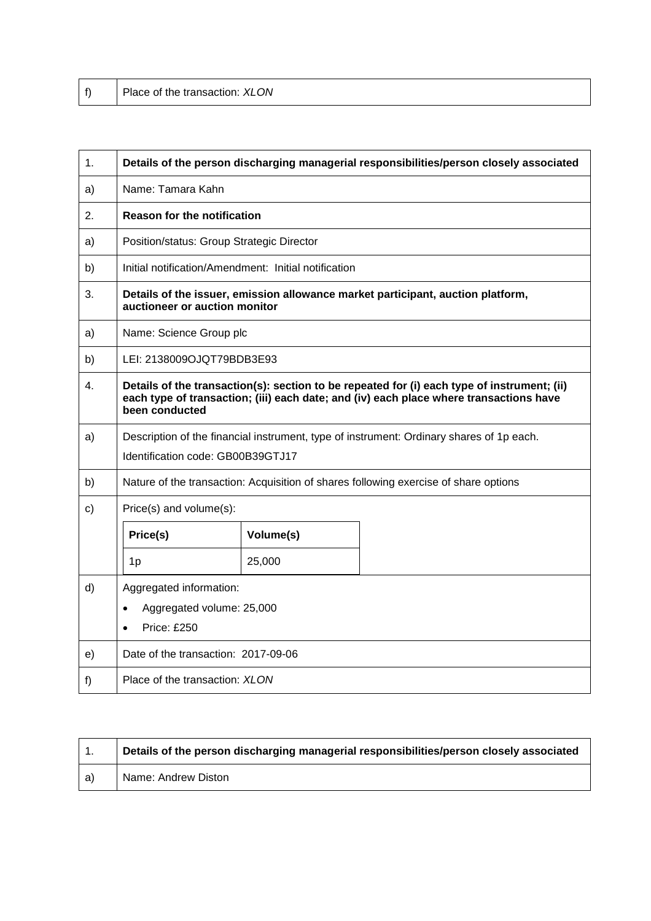|  | Place of the transaction: XLON |
|--|--------------------------------|
|--|--------------------------------|

| 1.           | Details of the person discharging managerial responsibilities/person closely associated                                                                                                                 |                                                      |  |
|--------------|---------------------------------------------------------------------------------------------------------------------------------------------------------------------------------------------------------|------------------------------------------------------|--|
| a)           | Name: Tamara Kahn                                                                                                                                                                                       |                                                      |  |
| 2.           | <b>Reason for the notification</b>                                                                                                                                                                      |                                                      |  |
| a)           | Position/status: Group Strategic Director                                                                                                                                                               |                                                      |  |
| b)           |                                                                                                                                                                                                         | Initial notification/Amendment: Initial notification |  |
| 3.           | Details of the issuer, emission allowance market participant, auction platform,<br>auctioneer or auction monitor                                                                                        |                                                      |  |
| a)           | Name: Science Group plc                                                                                                                                                                                 |                                                      |  |
| b)           | LEI: 2138009OJQT79BDB3E93                                                                                                                                                                               |                                                      |  |
| 4.           | Details of the transaction(s): section to be repeated for (i) each type of instrument; (ii)<br>each type of transaction; (iii) each date; and (iv) each place where transactions have<br>been conducted |                                                      |  |
| a)           | Description of the financial instrument, type of instrument: Ordinary shares of 1p each.<br>Identification code: GB00B39GTJ17                                                                           |                                                      |  |
| b)           | Nature of the transaction: Acquisition of shares following exercise of share options                                                                                                                    |                                                      |  |
| $\mathsf{C}$ | Price(s) and volume(s):                                                                                                                                                                                 |                                                      |  |
|              | Price(s)                                                                                                                                                                                                | Volume(s)                                            |  |
|              | 1p                                                                                                                                                                                                      | 25,000                                               |  |
| d)           | Aggregated information:<br>Aggregated volume: 25,000<br><b>Price: £250</b>                                                                                                                              |                                                      |  |
| e)           | Date of the transaction: 2017-09-06                                                                                                                                                                     |                                                      |  |
| f)           | Place of the transaction: XLON                                                                                                                                                                          |                                                      |  |

|      | Details of the person discharging managerial responsibilities/person closely associated |
|------|-----------------------------------------------------------------------------------------|
| l a) | Name: Andrew Diston                                                                     |